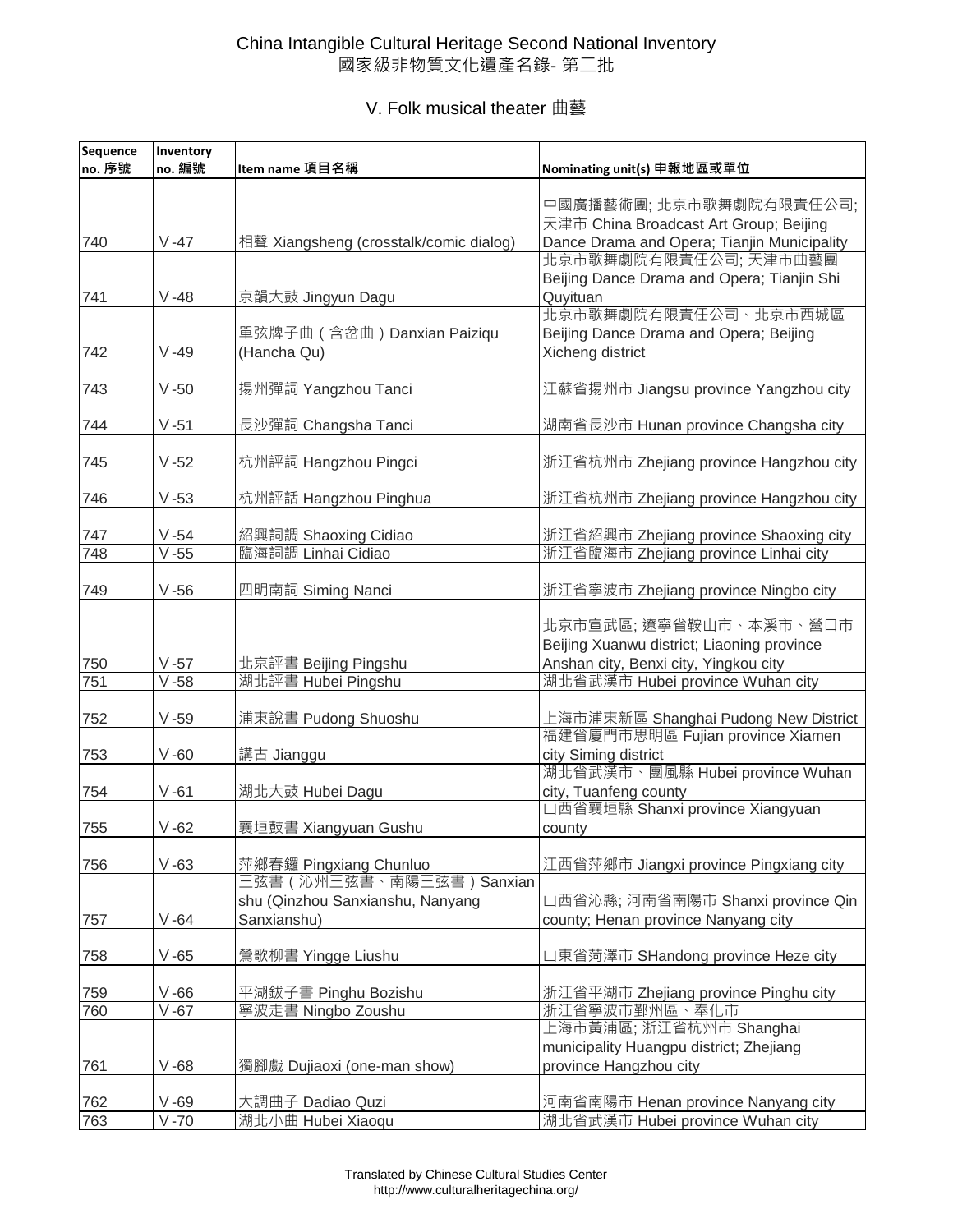## China Intangible Cultural Heritage Second National Inventory 國家級非物質文化遺產名錄- 第二批

## V. Folk musical theater 曲藝

| Sequence | Inventory |                                        |                                                          |
|----------|-----------|----------------------------------------|----------------------------------------------------------|
| no. 序號   | no. 編號    | Item name 項目名稱                         | Nominating unit(s) 申報地區或單位                               |
|          |           |                                        | 中國廣播藝術團;北京市歌舞劇院有限責任公司;                                   |
|          |           |                                        | 天津市 China Broadcast Art Group; Beijing                   |
| 740      | $V - 47$  | 相聲 Xiangsheng (crosstalk/comic dialog) | Dance Drama and Opera; Tianjin Municipality              |
|          |           |                                        | 北京市歌舞劇院有限責任公司; 天津市曲藝團                                    |
|          |           |                                        | Beijing Dance Drama and Opera; Tianjin Shi               |
| 741      | $V - 48$  | 京韻大鼓 Jingyun Dagu                      | Quyituan                                                 |
|          |           |                                        | 北京市歌舞劇院有限責任公司、北京市西城區                                     |
|          |           | 單弦牌子曲 (含岔曲) Danxian Paiziqu            | Beijing Dance Drama and Opera; Beijing                   |
| 742      | $V - 49$  | (Hancha Qu)                            | Xicheng district                                         |
| 743      | $V - 50$  | 揚州彈詞 Yangzhou Tanci                    | 江蘇省揚州市 Jiangsu province Yangzhou city                    |
|          |           |                                        |                                                          |
| 744      | $V - 51$  | 長沙彈詞 Changsha Tanci                    | 湖南省長沙市 Hunan province Changsha city                      |
|          |           |                                        |                                                          |
| 745      | $V - 52$  | 杭州評詞 Hangzhou Pingci                   | 浙江省杭州市 Zhejiang province Hangzhou city                   |
|          |           |                                        |                                                          |
| 746      | $V - 53$  | 杭州評話 Hangzhou Pinghua                  | 浙江省杭州市 Zhejiang province Hangzhou city                   |
| 747      | $V - 54$  | 紹興詞調 Shaoxing Cidiao                   | 浙江省紹興市 Zhejiang province Shaoxing city                   |
| 748      | $V - 55$  | 臨海詞調 Linhai Cidiao                     | 浙江省臨海市 Zhejiang province Linhai city                     |
|          |           |                                        |                                                          |
| 749      | $V - 56$  | 四明南詞 Siming Nanci                      | 浙江省寧波市 Zhejiang province Ningbo city                     |
|          |           |                                        | 北京市宣武區; 遼寧省鞍山市、本溪市、營口市                                   |
|          |           |                                        | Beijing Xuanwu district; Liaoning province               |
| 750      | $V - 57$  | 北京評書 Beijing Pingshu                   | Anshan city, Benxi city, Yingkou city                    |
| 751      | $V - 58$  | 湖北評書 Hubei Pingshu                     | 湖北省武漢市 Hubei province Wuhan city                         |
|          |           |                                        |                                                          |
| 752      | $V - 59$  | 浦東說書 Pudong Shuoshu                    | 上海市浦東新區 Shanghai Pudong New District                     |
|          |           |                                        | 福建省廈門市思明區 Fujian province Xiamen                         |
| 753      | $V - 60$  | 講古 Jianggu                             | city Siming district                                     |
| 754      | $V - 61$  | 湖北大鼓 Hubei Dagu                        | 湖北省武漢市、團風縣 Hubei province Wuhan<br>city, Tuanfeng county |
|          |           |                                        | 山西省襄垣縣 Shanxi province Xiangyuan                         |
| 755      | $V - 62$  | 襄垣鼓書 Xiangyuan Gushu                   | county                                                   |
|          |           |                                        |                                                          |
| 756      | $V - 63$  | 萍鄉春鑼 Pingxiang Chunluo                 | 江西省萍鄉市 Jiangxi province Pingxiang city                   |
|          |           | 三弦書(沁州三弦書、南陽三弦書)Sanxian                |                                                          |
|          |           | shu (Qinzhou Sanxianshu, Nanyang       | 山西省沁縣; 河南省南陽市 Shanxi province Qin                        |
| 757      | $V - 64$  | Sanxianshu)                            | county; Henan province Nanyang city                      |
| 758      | $V-65$    | 鶯歌柳書 Yingge Liushu                     | 山東省菏澤市 SHandong province Heze city                       |
|          |           |                                        |                                                          |
| 759      | $V - 66$  | 平湖鈸子書 Pinghu Bozishu                   | 浙江省平湖市 Zhejiang province Pinghu city                     |
| 760      | $V - 67$  | 寧波走書 Ningbo Zoushu                     | 浙江省寧波市鄞州區、奉化市                                            |
|          |           |                                        | 上海市黃浦區; 浙江省杭州市 Shanghai                                  |
|          |           |                                        | municipality Huangpu district; Zhejiang                  |
| 761      | $V-68$    | 獨腳戲 Dujiaoxi (one-man show)            | province Hangzhou city                                   |
| 762      | $V - 69$  | 大調曲子 Dadiao Quzi                       | 河南省南陽市 Henan province Nanyang city                       |
| 763      | $V - 70$  | 湖北小曲 Hubei Xiaoqu                      | 湖北省武漢市 Hubei province Wuhan city                         |